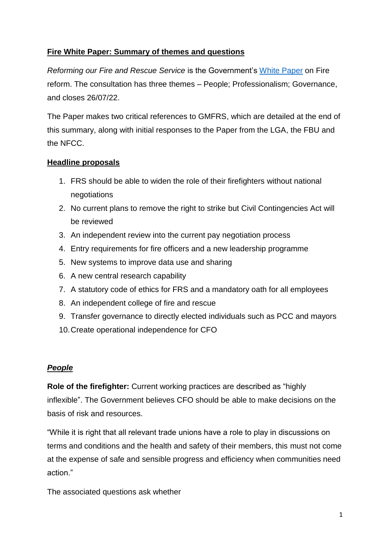# **Fire White Paper: Summary of themes and questions**

*Reforming our Fire and Rescue Service* is the Government's [White Paper](https://www.gov.uk/government/consultations/reforming-our-fire-and-rescue-service) on Fire reform. The consultation has three themes – People; Professionalism; Governance, and closes 26/07/22.

The Paper makes two critical references to GMFRS, which are detailed at the end of this summary, along with initial responses to the Paper from the LGA, the FBU and the NFCC.

### **Headline proposals**

- 1. FRS should be able to widen the role of their firefighters without national negotiations
- 2. No current plans to remove the right to strike but Civil Contingencies Act will be reviewed
- 3. An independent review into the current pay negotiation process
- 4. Entry requirements for fire officers and a new leadership programme
- 5. New systems to improve data use and sharing
- 6. A new central research capability
- 7. A statutory code of ethics for FRS and a mandatory oath for all employees
- 8. An independent college of fire and rescue
- 9. Transfer governance to directly elected individuals such as PCC and mayors
- 10.Create operational independence for CFO

#### *People*

**Role of the firefighter:** Current working practices are described as "highly inflexible". The Government believes CFO should be able to make decisions on the basis of risk and resources.

"While it is right that all relevant trade unions have a role to play in discussions on terms and conditions and the health and safety of their members, this must not come at the expense of safe and sensible progress and efficiency when communities need action."

The associated questions ask whether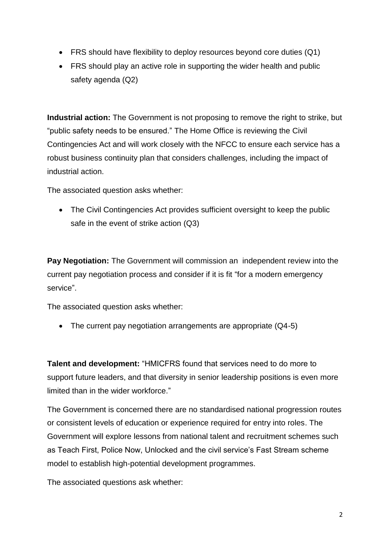- FRS should have flexibility to deploy resources beyond core duties (Q1)
- FRS should play an active role in supporting the wider health and public safety agenda (Q2)

**Industrial action:** The Government is not proposing to remove the right to strike, but "public safety needs to be ensured." The Home Office is reviewing the Civil Contingencies Act and will work closely with the NFCC to ensure each service has a robust business continuity plan that considers challenges, including the impact of industrial action.

The associated question asks whether:

• The Civil Contingencies Act provides sufficient oversight to keep the public safe in the event of strike action (Q3)

**Pay Negotiation:** The Government will commission an independent review into the current pay negotiation process and consider if it is fit "for a modern emergency service".

The associated question asks whether:

• The current pay negotiation arrangements are appropriate (Q4-5)

**Talent and development:** "HMICFRS found that services need to do more to support future leaders, and that diversity in senior leadership positions is even more limited than in the wider workforce."

The Government is concerned there are no standardised national progression routes or consistent levels of education or experience required for entry into roles. The Government will explore lessons from national talent and recruitment schemes such as Teach First, Police Now, Unlocked and the civil service's Fast Stream scheme model to establish high-potential development programmes.

The associated questions ask whether: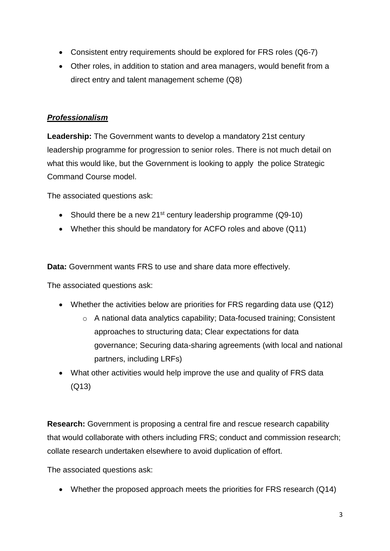- Consistent entry requirements should be explored for FRS roles (Q6-7)
- Other roles, in addition to station and area managers, would benefit from a direct entry and talent management scheme (Q8)

### *Professionalism*

**Leadership:** The Government wants to develop a mandatory 21st century leadership programme for progression to senior roles. There is not much detail on what this would like, but the Government is looking to apply the police Strategic Command Course model.

The associated questions ask:

- Should there be a new 21<sup>st</sup> century leadership programme  $(Q9-10)$
- Whether this should be mandatory for ACFO roles and above (Q11)

**Data:** Government wants FRS to use and share data more effectively.

The associated questions ask:

- Whether the activities below are priorities for FRS regarding data use (Q12)
	- o A national data analytics capability; Data-focused training; Consistent approaches to structuring data; Clear expectations for data governance; Securing data-sharing agreements (with local and national partners, including LRFs)
- What other activities would help improve the use and quality of FRS data (Q13)

**Research:** Government is proposing a central fire and rescue research capability that would collaborate with others including FRS; conduct and commission research; collate research undertaken elsewhere to avoid duplication of effort.

The associated questions ask:

• Whether the proposed approach meets the priorities for FRS research (Q14)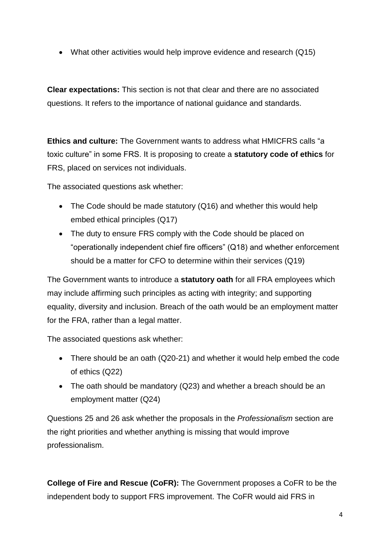• What other activities would help improve evidence and research (Q15)

**Clear expectations:** This section is not that clear and there are no associated questions. It refers to the importance of national guidance and standards.

**Ethics and culture:** The Government wants to address what HMICFRS calls "a toxic culture" in some FRS. It is proposing to create a **statutory code of ethics** for FRS, placed on services not individuals.

The associated questions ask whether:

- The Code should be made statutory (Q16) and whether this would help embed ethical principles (Q17)
- The duty to ensure FRS comply with the Code should be placed on "operationally independent chief fire officers" (Q18) and whether enforcement should be a matter for CFO to determine within their services (Q19)

The Government wants to introduce a **statutory oath** for all FRA employees which may include affirming such principles as acting with integrity; and supporting equality, diversity and inclusion. Breach of the oath would be an employment matter for the FRA, rather than a legal matter.

The associated questions ask whether:

- There should be an oath (Q20-21) and whether it would help embed the code of ethics (Q22)
- The oath should be mandatory (Q23) and whether a breach should be an employment matter (Q24)

Questions 25 and 26 ask whether the proposals in the *Professionalism* section are the right priorities and whether anything is missing that would improve professionalism.

**College of Fire and Rescue (CoFR):** The Government proposes a CoFR to be the independent body to support FRS improvement. The CoFR would aid FRS in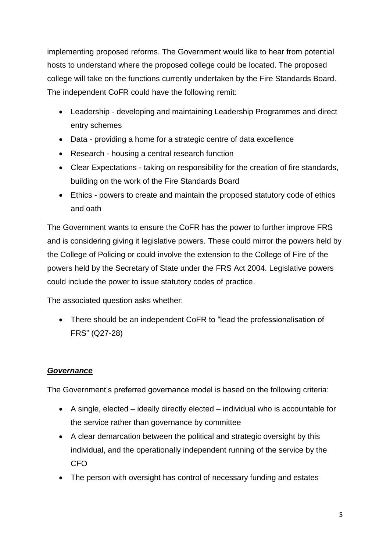implementing proposed reforms. The Government would like to hear from potential hosts to understand where the proposed college could be located. The proposed college will take on the functions currently undertaken by the Fire Standards Board. The independent CoFR could have the following remit:

- Leadership developing and maintaining Leadership Programmes and direct entry schemes
- Data providing a home for a strategic centre of data excellence
- Research housing a central research function
- Clear Expectations taking on responsibility for the creation of fire standards, building on the work of the Fire Standards Board
- Ethics powers to create and maintain the proposed statutory code of ethics and oath

The Government wants to ensure the CoFR has the power to further improve FRS and is considering giving it legislative powers. These could mirror the powers held by the College of Policing or could involve the extension to the College of Fire of the powers held by the Secretary of State under the FRS Act 2004. Legislative powers could include the power to issue statutory codes of practice.

The associated question asks whether:

 There should be an independent CoFR to "lead the professionalisation of FRS" (Q27-28)

# *Governance*

The Government's preferred governance model is based on the following criteria:

- A single, elected ideally directly elected individual who is accountable for the service rather than governance by committee
- A clear demarcation between the political and strategic oversight by this individual, and the operationally independent running of the service by the CFO
- The person with oversight has control of necessary funding and estates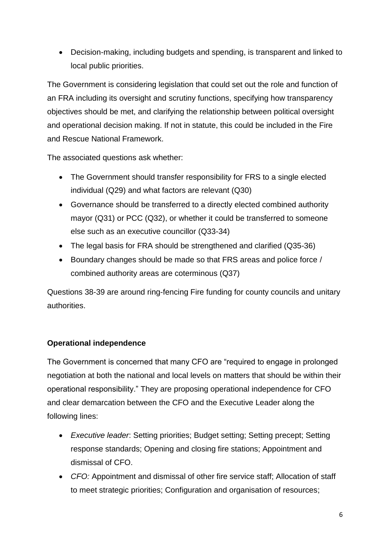Decision-making, including budgets and spending, is transparent and linked to local public priorities.

The Government is considering legislation that could set out the role and function of an FRA including its oversight and scrutiny functions, specifying how transparency objectives should be met, and clarifying the relationship between political oversight and operational decision making. If not in statute, this could be included in the Fire and Rescue National Framework.

The associated questions ask whether:

- The Government should transfer responsibility for FRS to a single elected individual (Q29) and what factors are relevant (Q30)
- Governance should be transferred to a directly elected combined authority mayor (Q31) or PCC (Q32), or whether it could be transferred to someone else such as an executive councillor (Q33-34)
- The legal basis for FRA should be strengthened and clarified (Q35-36)
- Boundary changes should be made so that FRS areas and police force / combined authority areas are coterminous (Q37)

Questions 38-39 are around ring-fencing Fire funding for county councils and unitary authorities.

# **Operational independence**

The Government is concerned that many CFO are "required to engage in prolonged negotiation at both the national and local levels on matters that should be within their operational responsibility." They are proposing operational independence for CFO and clear demarcation between the CFO and the Executive Leader along the following lines:

- *Executive leader*: Setting priorities; Budget setting; Setting precept; Setting response standards; Opening and closing fire stations; Appointment and dismissal of CFO.
- *CFO:* Appointment and dismissal of other fire service staff; Allocation of staff to meet strategic priorities; Configuration and organisation of resources;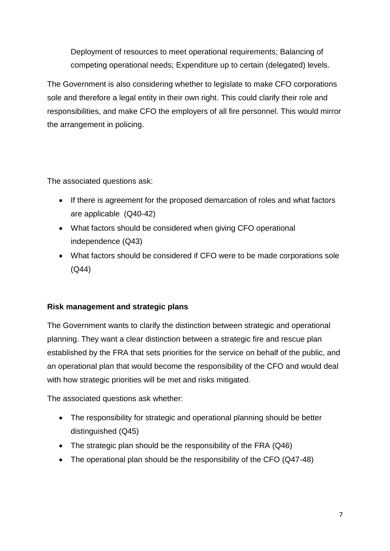Deployment of resources to meet operational requirements; Balancing of competing operational needs; Expenditure up to certain (delegated) levels.

The Government is also considering whether to legislate to make CFO corporations sole and therefore a legal entity in their own right. This could clarify their role and responsibilities, and make CFO the employers of all fire personnel. This would mirror the arrangement in policing.

The associated questions ask:

- If there is agreement for the proposed demarcation of roles and what factors are applicable (Q40-42)
- What factors should be considered when giving CFO operational independence (Q43)
- What factors should be considered if CFO were to be made corporations sole (Q44)

# **Risk management and strategic plans**

The Government wants to clarify the distinction between strategic and operational planning. They want a clear distinction between a strategic fire and rescue plan established by the FRA that sets priorities for the service on behalf of the public, and an operational plan that would become the responsibility of the CFO and would deal with how strategic priorities will be met and risks mitigated.

The associated questions ask whether:

- The responsibility for strategic and operational planning should be better distinguished (Q45)
- The strategic plan should be the responsibility of the FRA (Q46)
- The operational plan should be the responsibility of the CFO (Q47-48)